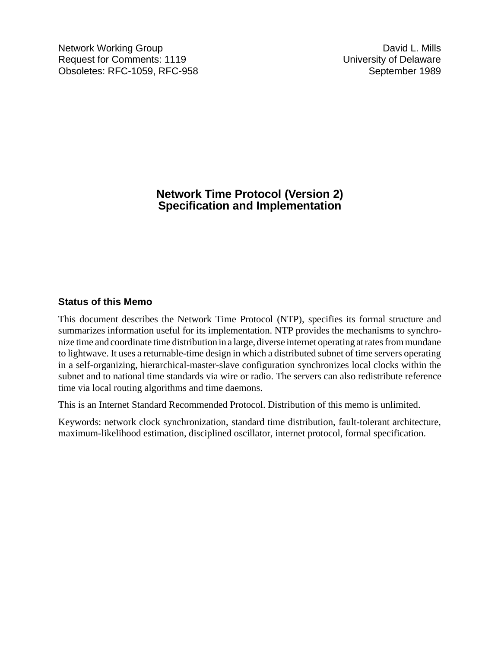Network Working Group Network Communication Communication Communication Communication Communication David L. Mills Request for Comments: 1119 University of Delaware Obsoletes: RFC-1059, RFC-958 September 1989

## **Network Time Protocol (Version 2) Specification and Implementation**

## **Status of this Memo**

This document describes the Network Time Protocol (NTP), specifies its formal structure and summarizes information useful for its implementation. NTP provides the mechanisms to synchronize time and coordinate time distribution in a large, diverse internet operating at rates from mundane to lightwave. It uses a returnable-time design in which a distributed subnet of time servers operating in a self-organizing, hierarchical-master-slave configuration synchronizes local clocks within the subnet and to national time standards via wire or radio. The servers can also redistribute reference time via local routing algorithms and time daemons.

This is an Internet Standard Recommended Protocol. Distribution of this memo is unlimited.

Keywords: network clock synchronization, standard time distribution, fault-tolerant architecture, maximum-likelihood estimation, disciplined oscillator, internet protocol, formal specification.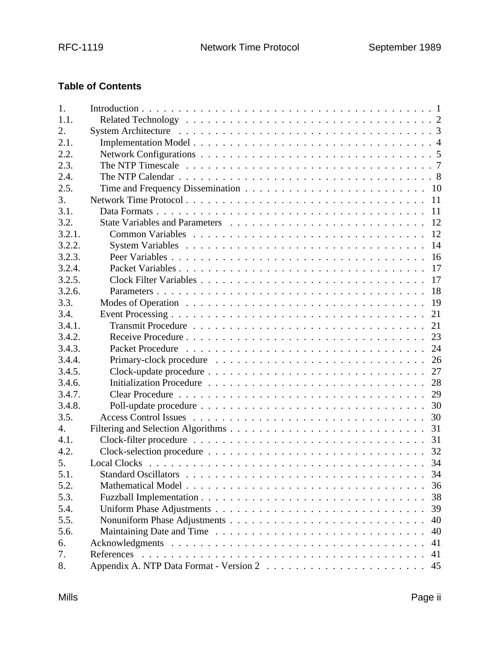## **Table of Contents**

| 1.     |                                                                                                    |
|--------|----------------------------------------------------------------------------------------------------|
| 1.1.   |                                                                                                    |
| 2.     | System Architecture $\ldots \ldots \ldots \ldots \ldots \ldots \ldots \ldots \ldots \ldots \ldots$ |
| 2.1.   |                                                                                                    |
| 2.2.   |                                                                                                    |
| 2.3.   | The NTP Timescale $\ldots \ldots \ldots \ldots \ldots \ldots \ldots \ldots \ldots \ldots \ldots$   |
| 2.4.   |                                                                                                    |
| 2.5.   |                                                                                                    |
| 3.     | -11                                                                                                |
| 3.1.   | -11                                                                                                |
| 3.2.   | <sup>12</sup>                                                                                      |
| 3.2.1. |                                                                                                    |
| 3.2.2. | 14                                                                                                 |
| 3.2.3. | 16                                                                                                 |
| 3.2.4. |                                                                                                    |
| 3.2.5. | 17                                                                                                 |
| 3.2.6. | 18                                                                                                 |
| 3.3.   | 19                                                                                                 |
| 3.4.   | 21                                                                                                 |
| 3.4.1. | 21                                                                                                 |
| 3.4.2. |                                                                                                    |
| 3.4.3. | 24                                                                                                 |
| 3.4.4. |                                                                                                    |
| 3.4.5. |                                                                                                    |
| 3.4.6. |                                                                                                    |
| 3.4.7. | 29                                                                                                 |
| 3.4.8. |                                                                                                    |
| 3.5.   | 30                                                                                                 |
| 4.     | 31                                                                                                 |
| 4.1.   | 31                                                                                                 |
| 4.2.   |                                                                                                    |
| 5.     | 34                                                                                                 |
| 5.1.   | 34                                                                                                 |
| 5.2.   | 36                                                                                                 |
| 5.3.   | 38                                                                                                 |
| 5.4.   | 39                                                                                                 |
| 5.5.   | 40                                                                                                 |
| 5.6.   | 40                                                                                                 |
| 6.     | 41                                                                                                 |
| 7.     | 41                                                                                                 |
| 8.     | 45                                                                                                 |